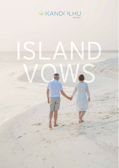

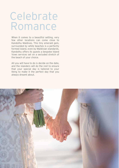### Celebrate Romance

When it comes to a beautiful setting, very few other locations can come close to Kandolhu Maldives. This tiny emerald gem, surrounded by white beaches is a perfectly formed island, even by Maldivian standards. Kandolhu offers its guests a bespoke Island Vows services set on a secluded stretch of the beach of your choice.

All you will have to do is decide on the date, and the islanders will do the rest to ensure that your special day is tailored to your liking to make it the perfect day that you always dreamt about.

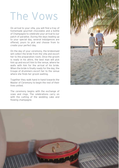# The Vows

On arrival to your villa, you will find a tray of homemade gourmet chocolates and a bottle of Champagne to celebrate your arrival to our patch of paradise. During the days leading up to your special day, several indulgences are offered, yours to pick and choose from to create your perfect day.

On the day of your ceremony, the bridesmaid will collect the bride from the villa and escort her to the preparation room. Once the groom is ready in his attire, the best man will pick him up and escort him to the venue, where he waits with him for the arrival of his bride. When the bride is finally ready for the day, the troupe of drummers escort her to the venue where she finds her groom waiting.

Together they walk hand in hand towards the Master of Ceremony to begin the rest of their lives united.

The ceremony begins with the exchange of vows and rings. The celebrations carry on with the cutting of the wedding cake and flowing champagne.



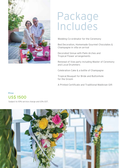

### Package Includes

Wedding Co-ordinator for the Ceremony

Bed Decoration, Homemade Gourmet Chocolates & Champagne in villa on arrival

Decorated Venue with Palm Arches and Tropical Flower arrangements

Renewal of Vow party including Master of Ceremony and Local Drummers

Celebration Cake & a bottle of Champagne

Tropical Bouquet for Bride and Buttonhole for the Groom

A Printed Certificate and Traditional Maldivian Gift

#### Price US\$ 1500

Subject to 10% service charge and 12% GST.

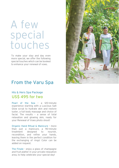### A few special touches

To make your stay and day even more special, we offer the following special touches which can be booked to enhance your renewal of vows.

### From the Varu Spa

#### His & Hers Spa Package US\$ 495 for two

Pearl of the Sea – a 120-minute experience starting with a Luscious Salt Glow scrub to hydrate skin and restore luster, a full body massage and choice of facial. The results – a sense of total relaxation and glowing skin, ready for your Renewal of Vows photo shoot!

Organic Hand Ritual & Manicure – more than just a manicure, a 90-minute treatment designed to nourish, recondition, and refine your hands, leaving them in the perfect condition for the exchanging of rings! Color can be added on request.

The Finale - enjoy a glass of champagne and fruit platter in your private relaxation area, to help celebrate your special day!

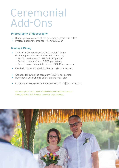### Ceremonial Add-Ons

#### Photography & Videography

- Digital video coverage of the ceremony from US\$ 900\*
- Professional photographer from US\$ 600\*

#### Wining & Dining

- Tailored 6 Course Degustation Candlelit Dinner (including private consultation with the Chef)
	- Served on the Beach US\$149 per person
	- Served by your Villa US\$199 per person
	- Served on our Moonlight Jetty US\$249 per person
- Candlelit Dinner for Wedding Party rates on request
- Canapes following the ceremony: US\$40 per person
- Beverages: according to selection and meal plan
- Champagne Breakfast in Bed the next day: US\$75 per person

Items indicated with \*maybe subject to price changes. All above prices are subject to 10% service charge and 12% GST.